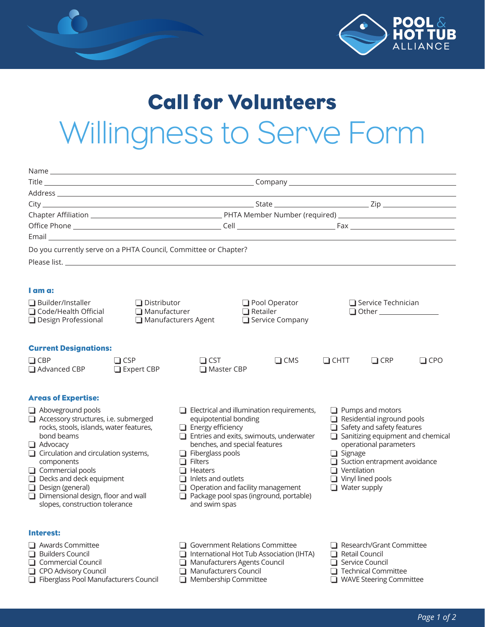

## Call for Volunteers Willingness to Serve Form

|                                                                                                                          |                                                  |                                                                                   |                                                                            |                         |                                                                                                                                                          | <u> 1980 - Johann Stoff, deutscher Stoff, der Stoff, der Stoff, der Stoff, der Stoff, der Stoff, der Stoff, der S</u> |            |  |
|--------------------------------------------------------------------------------------------------------------------------|--------------------------------------------------|-----------------------------------------------------------------------------------|----------------------------------------------------------------------------|-------------------------|----------------------------------------------------------------------------------------------------------------------------------------------------------|-----------------------------------------------------------------------------------------------------------------------|------------|--|
|                                                                                                                          |                                                  |                                                                                   |                                                                            |                         |                                                                                                                                                          |                                                                                                                       |            |  |
|                                                                                                                          |                                                  |                                                                                   |                                                                            |                         |                                                                                                                                                          |                                                                                                                       |            |  |
|                                                                                                                          |                                                  |                                                                                   |                                                                            |                         |                                                                                                                                                          |                                                                                                                       |            |  |
| Email <b>Exercía de Santa Caractería de Santa Caractería</b> de Santa Caractería de Santa Caractería de Santa Caractería |                                                  |                                                                                   |                                                                            |                         |                                                                                                                                                          |                                                                                                                       |            |  |
| Do you currently serve on a PHTA Council, Committee or Chapter?                                                          |                                                  |                                                                                   |                                                                            |                         |                                                                                                                                                          |                                                                                                                       |            |  |
|                                                                                                                          |                                                  |                                                                                   |                                                                            |                         |                                                                                                                                                          |                                                                                                                       |            |  |
|                                                                                                                          |                                                  |                                                                                   |                                                                            |                         |                                                                                                                                                          |                                                                                                                       |            |  |
| I am a:                                                                                                                  |                                                  |                                                                                   |                                                                            |                         |                                                                                                                                                          |                                                                                                                       |            |  |
| $\Box$ Builder/Installer<br>$\Box$ Distributor                                                                           |                                                  | Pool Operator                                                                     |                                                                            |                         | $\Box$ Service Technician<br>Other ________________                                                                                                      |                                                                                                                       |            |  |
| □ Code/Health Official<br>$\Box$ Manufacturer                                                                            |                                                  |                                                                                   | $\Box$ Retailer                                                            |                         |                                                                                                                                                          |                                                                                                                       |            |  |
| □ Design Professional                                                                                                    |                                                  | $\Box$ Manufacturers Agent                                                        | Service Company                                                            |                         |                                                                                                                                                          |                                                                                                                       |            |  |
|                                                                                                                          |                                                  |                                                                                   |                                                                            |                         |                                                                                                                                                          |                                                                                                                       |            |  |
| <b>Current Designations:</b>                                                                                             |                                                  |                                                                                   |                                                                            |                         |                                                                                                                                                          |                                                                                                                       |            |  |
| $\Box$ CBP                                                                                                               | $\Box$ CSP                                       | $\Box$ CST                                                                        |                                                                            | $\Box$ CMS              | $\Box$ CHTT                                                                                                                                              | $\Box$ CRP                                                                                                            | $\Box$ CPO |  |
| $\Box$ Advanced CBP                                                                                                      | $\Box$ Expert CBP                                | □ Master CBP                                                                      |                                                                            |                         |                                                                                                                                                          |                                                                                                                       |            |  |
|                                                                                                                          |                                                  |                                                                                   |                                                                            |                         |                                                                                                                                                          |                                                                                                                       |            |  |
| <b>Areas of Expertise:</b>                                                                                               |                                                  |                                                                                   |                                                                            |                         |                                                                                                                                                          |                                                                                                                       |            |  |
| Aboveground pools                                                                                                        | $\Box$ Electrical and illumination requirements, |                                                                                   |                                                                            | $\Box$ Pumps and motors |                                                                                                                                                          |                                                                                                                       |            |  |
| Accessory structures, i.e. submerged                                                                                     |                                                  |                                                                                   | equipotential bonding                                                      |                         |                                                                                                                                                          | $\Box$ Residential inground pools                                                                                     |            |  |
| rocks, stools, islands, water features,<br>bond beams                                                                    |                                                  |                                                                                   | $\Box$ Energy efficiency<br>$\Box$ Entries and exits, swimouts, underwater |                         |                                                                                                                                                          | $\Box$ Safety and safety features<br>$\Box$ Sanitizing equipment and chemical                                         |            |  |
| $\Box$ Advocacy                                                                                                          |                                                  | benches, and special features                                                     |                                                                            |                         | operational parameters<br>$\Box$ Signage<br>$\Box$ Suction entrapment avoidance<br>$\Box$ Ventilation<br>$\Box$ Vinyl lined pools<br>$\Box$ Water supply |                                                                                                                       |            |  |
| $\Box$ Circulation and circulation systems,                                                                              |                                                  | $\Box$ Fiberglass pools                                                           |                                                                            |                         |                                                                                                                                                          |                                                                                                                       |            |  |
| components<br>$\Box$ Commercial pools                                                                                    |                                                  | $\Box$ Filters<br>$\Box$ Heaters                                                  |                                                                            |                         |                                                                                                                                                          |                                                                                                                       |            |  |
| $\Box$ Decks and deck equipment                                                                                          |                                                  | $\Box$ Inlets and outlets                                                         |                                                                            |                         |                                                                                                                                                          |                                                                                                                       |            |  |
| $\Box$ Design (general)                                                                                                  |                                                  | Operation and facility management                                                 |                                                                            |                         |                                                                                                                                                          |                                                                                                                       |            |  |
| $\Box$ Dimensional design, floor and wall<br>slopes, construction tolerance                                              |                                                  | Package pool spas (inground, portable)<br>and swim spas                           |                                                                            |                         |                                                                                                                                                          |                                                                                                                       |            |  |
|                                                                                                                          |                                                  |                                                                                   |                                                                            |                         |                                                                                                                                                          |                                                                                                                       |            |  |
|                                                                                                                          |                                                  |                                                                                   |                                                                            |                         |                                                                                                                                                          |                                                                                                                       |            |  |
| Interest:                                                                                                                |                                                  |                                                                                   |                                                                            |                         |                                                                                                                                                          |                                                                                                                       |            |  |
| $\Box$ Awards Committee<br><b>Builders Council</b>                                                                       |                                                  | <b>Government Relations Committee</b><br>International Hot Tub Association (IHTA) |                                                                            |                         | Research/Grant Committee<br>Retail Council                                                                                                               |                                                                                                                       |            |  |
| □ Commercial Council                                                                                                     |                                                  | Manufacturers Agents Council                                                      |                                                                            |                         | Service Council                                                                                                                                          |                                                                                                                       |            |  |
| CPO Advisory Council                                                                                                     |                                                  | Manufacturers Council<br>ப                                                        |                                                                            |                         | <b>Technical Committee</b>                                                                                                                               |                                                                                                                       |            |  |
| Fiberglass Pool Manufacturers Council                                                                                    |                                                  | Membership Committee<br>l I                                                       |                                                                            |                         | <b>WAVE Steering Committee</b>                                                                                                                           |                                                                                                                       |            |  |